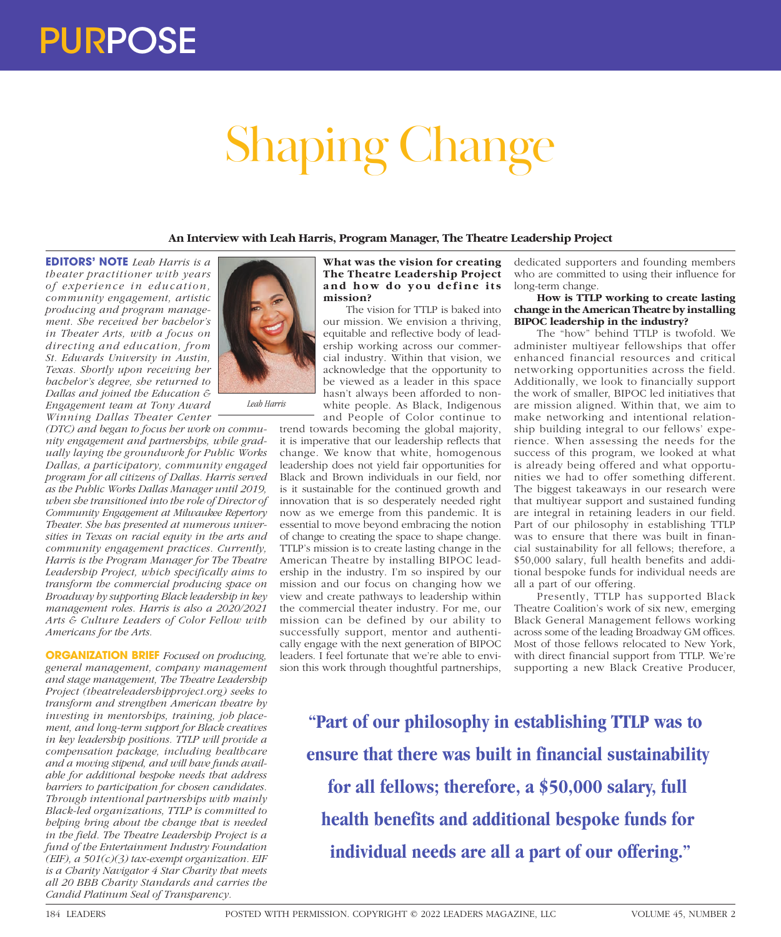# Shaping Change

**An Interview with Leah Harris, Program Manager, The Theatre Leadership Project**

**EDITORS' NOTE** *Leah Harris is a theater practitioner with years of experience in education, community engagement, artistic producing and program management. She received her bachelor's in Theater Arts, with a focus on directing and education, from St. Edwards University in Austin, Texas. Shortly upon receiving her bachelor's degree, she returned to Dallas and joined the Education & Engagement team at Tony Award Winning Dallas Theater Center* 

*(DTC) and began to focus her work on community engagement and partnerships, while gradually laying the groundwork for Public Works Dallas, a participatory, community engaged program for all citizens of Dallas. Harris served as the Public Works Dallas Manager until 2019, when she transitioned into the role of Director of Community Engagement at Milwaukee Repertory Theater. She has presented at numerous universities in Texas on racial equity in the arts and community engagement practices. Currently, Harris is the Program Manager for The Theatre Leadership Project, which specifically aims to transform the commercial producing space on Broadway by supporting Black leadership in key management roles. Harris is also a 2020/2021 Arts & Culture Leaders of Color Fellow with Americans for the Arts.* 

*Leah Harris*

**ORGANIZATION BRIEF** *Focused on producing, general management, company management and stage management, The Theatre Leadership Project (theatreleadershipproject.org) seeks to transform and strengthen American theatre by investing in mentorships, training, job placement, and long-term support for Black creatives in key leadership positions. TTLP will provide a compensation package, including healthcare and a moving stipend, and will have funds available for additional bespoke needs that address barriers to participation for chosen candidates. Through intentional partnerships with mainly Black-led organizations, TTLP is committed to helping bring about the change that is needed in the field. The Theatre Leadership Project is a fund of the Entertainment Industry Foundation (EIF), a 501(c)(3) tax-exempt organization. EIF is a Charity Navigator 4 Star Charity that meets all 20 BBB Charity Standards and carries the Candid Platinum Seal of Transparency.*



The vision for TTLP is baked into our mission. We envision a thriving, equitable and reflective body of leadership working across our commercial industry. Within that vision, we acknowledge that the opportunity to be viewed as a leader in this space hasn't always been afforded to nonwhite people. As Black, Indigenous and People of Color continue to

trend towards becoming the global majority, it is imperative that our leadership reflects that change. We know that white, homogenous leadership does not yield fair opportunities for Black and Brown individuals in our field, nor is it sustainable for the continued growth and innovation that is so desperately needed right now as we emerge from this pandemic. It is essential to move beyond embracing the notion of change to creating the space to shape change. TTLP's mission is to create lasting change in the American Theatre by installing BIPOC leadership in the industry. I'm so inspired by our mission and our focus on changing how we view and create pathways to leadership within the commercial theater industry. For me, our mission can be defined by our ability to successfully support, mentor and authentically engage with the next generation of BIPOC leaders. I feel fortunate that we're able to envision this work through thoughtful partnerships, dedicated supporters and founding members who are committed to using their influence for long-term change.

## **How is TTLP working to create lasting change in the American Theatre by installing BIPOC leadership in the industry?**

The "how" behind TTLP is twofold. We administer multiyear fellowships that offer enhanced financial resources and critical networking opportunities across the field. Additionally, we look to financially support the work of smaller, BIPOC led initiatives that are mission aligned. Within that, we aim to make networking and intentional relationship building integral to our fellows' experience. When assessing the needs for the success of this program, we looked at what is already being offered and what opportunities we had to offer something different. The biggest takeaways in our research were that multiyear support and sustained funding are integral in retaining leaders in our field. Part of our philosophy in establishing TTLP was to ensure that there was built in financial sustainability for all fellows; therefore, a \$50,000 salary, full health benefits and additional bespoke funds for individual needs are all a part of our offering.

Presently, TTLP has supported Black Theatre Coalition's work of six new, emerging Black General Management fellows working across some of the leading Broadway GM offices. Most of those fellows relocated to New York, with direct financial support from TTLP. We're supporting a new Black Creative Producer,

**"Part of our philosophy in establishing TTLP was to ensure that there was built in financial sustainability for all fellows; therefore, a \$50,000 salary, full health benefits and additional bespoke funds for individual needs are all a part of our offering."**